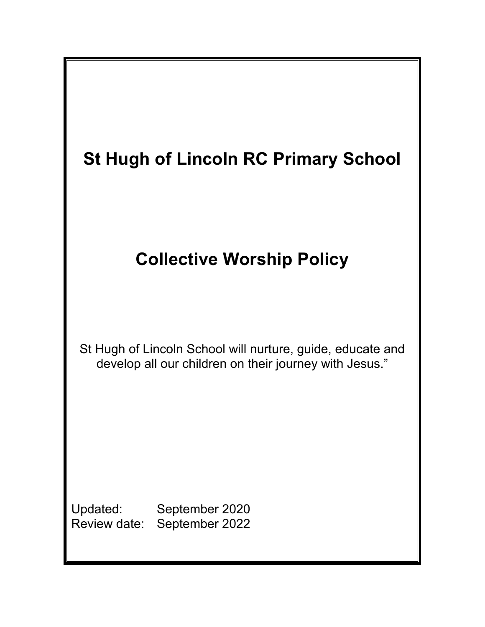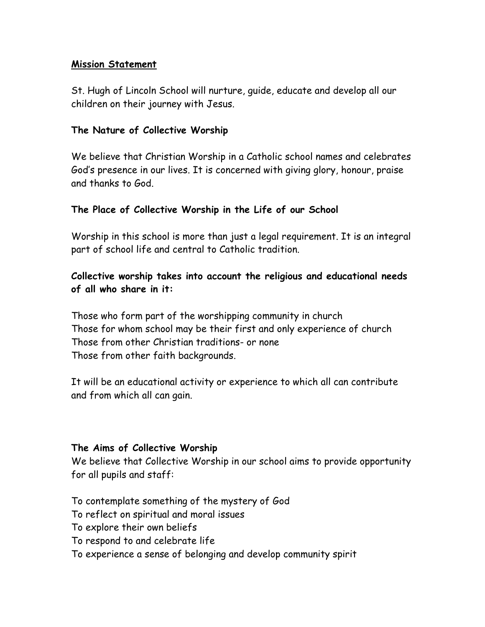## **Mission Statement**

St. Hugh of Lincoln School will nurture, guide, educate and develop all our children on their journey with Jesus.

### **The Nature of Collective Worship**

We believe that Christian Worship in a Catholic school names and celebrates God's presence in our lives. It is concerned with giving glory, honour, praise and thanks to God.

### **The Place of Collective Worship in the Life of our School**

Worship in this school is more than just a legal requirement. It is an integral part of school life and central to Catholic tradition.

# **Collective worship takes into account the religious and educational needs of all who share in it:**

Those who form part of the worshipping community in church Those for whom school may be their first and only experience of church Those from other Christian traditions- or none Those from other faith backgrounds.

It will be an educational activity or experience to which all can contribute and from which all can gain.

#### **The Aims of Collective Worship**

We believe that Collective Worship in our school aims to provide opportunity for all pupils and staff:

To contemplate something of the mystery of God

To reflect on spiritual and moral issues

- To explore their own beliefs
- To respond to and celebrate life
- To experience a sense of belonging and develop community spirit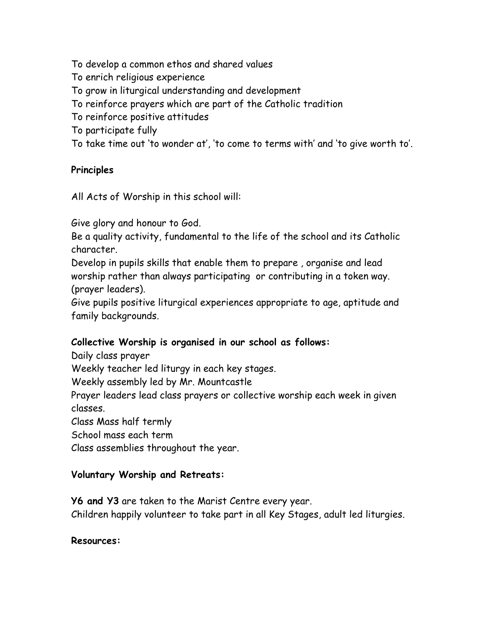To develop a common ethos and shared values

To enrich religious experience

To grow in liturgical understanding and development

To reinforce prayers which are part of the Catholic tradition

To reinforce positive attitudes

To participate fully

To take time out 'to wonder at', 'to come to terms with' and 'to give worth to'.

## **Principles**

All Acts of Worship in this school will:

Give glory and honour to God.

Be a quality activity, fundamental to the life of the school and its Catholic character.

Develop in pupils skills that enable them to prepare , organise and lead worship rather than always participating or contributing in a token way. (prayer leaders).

Give pupils positive liturgical experiences appropriate to age, aptitude and family backgrounds.

## **Collective Worship is organised in our school as follows:**

Daily class prayer

Weekly teacher led liturgy in each key stages.

Weekly assembly led by Mr. Mountcastle

Prayer leaders lead class prayers or collective worship each week in given classes.

Class Mass half termly

School mass each term

Class assemblies throughout the year.

## **Voluntary Worship and Retreats:**

**Y6 and Y3** are taken to the Marist Centre every year. Children happily volunteer to take part in all Key Stages, adult led liturgies.

#### **Resources:**